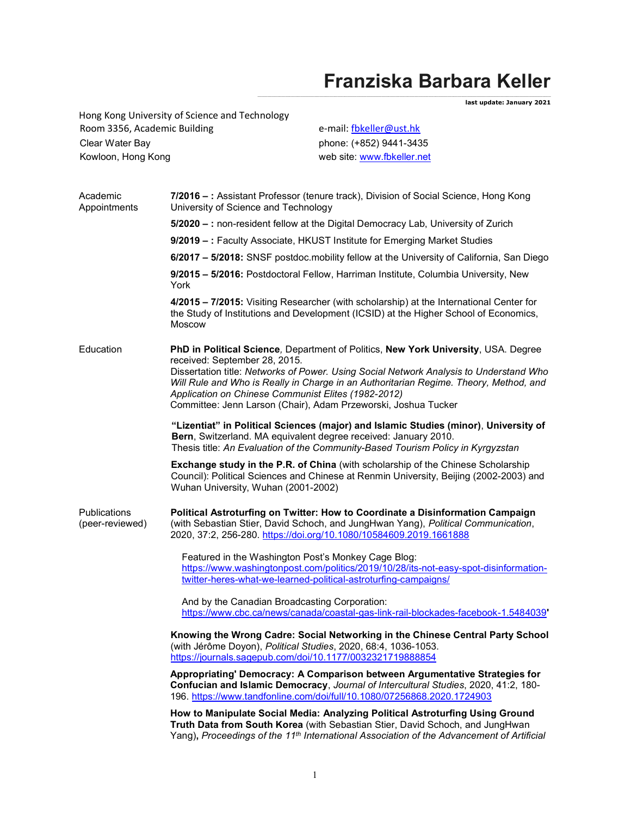## Franziska Barbara Keller

and the set of the set of the set of the set of the set of the set of the set of the set of the set of the set <br>and the set of the set of the set of the set of the set of the set of the set of the set of the set of the set

Hong Kong University of Science and Technology Room 3356, Academic Building e-mail: fbkeller@ust.hk Clear Water Bay phone: (+852) 9441-3435 Kowloon, Hong Kong web site: www.fbkeller.net

| Academic<br>Appointments               | 7/2016 -: Assistant Professor (tenure track), Division of Social Science, Hong Kong<br>University of Science and Technology                                                                                                                                                                                                                                                                                                     |
|----------------------------------------|---------------------------------------------------------------------------------------------------------------------------------------------------------------------------------------------------------------------------------------------------------------------------------------------------------------------------------------------------------------------------------------------------------------------------------|
|                                        | 5/2020 - : non-resident fellow at the Digital Democracy Lab, University of Zurich                                                                                                                                                                                                                                                                                                                                               |
|                                        | 9/2019 - : Faculty Associate, HKUST Institute for Emerging Market Studies                                                                                                                                                                                                                                                                                                                                                       |
|                                        | 6/2017 - 5/2018: SNSF postdoc.mobility fellow at the University of California, San Diego                                                                                                                                                                                                                                                                                                                                        |
|                                        | 9/2015 - 5/2016: Postdoctoral Fellow, Harriman Institute, Columbia University, New<br>York                                                                                                                                                                                                                                                                                                                                      |
|                                        | 4/2015 - 7/2015: Visiting Researcher (with scholarship) at the International Center for<br>the Study of Institutions and Development (ICSID) at the Higher School of Economics,<br><b>Moscow</b>                                                                                                                                                                                                                                |
| Education                              | PhD in Political Science, Department of Politics, New York University, USA. Degree<br>received: September 28, 2015.<br>Dissertation title: Networks of Power. Using Social Network Analysis to Understand Who<br>Will Rule and Who is Really in Charge in an Authoritarian Regime. Theory, Method, and<br>Application on Chinese Communist Elites (1982-2012)<br>Committee: Jenn Larson (Chair), Adam Przeworski, Joshua Tucker |
|                                        | "Lizentiat" in Political Sciences (major) and Islamic Studies (minor), University of<br>Bern, Switzerland. MA equivalent degree received: January 2010.<br>Thesis title: An Evaluation of the Community-Based Tourism Policy in Kyrgyzstan                                                                                                                                                                                      |
|                                        | Exchange study in the P.R. of China (with scholarship of the Chinese Scholarship<br>Council): Political Sciences and Chinese at Renmin University, Beijing (2002-2003) and<br>Wuhan University, Wuhan (2001-2002)                                                                                                                                                                                                               |
| <b>Publications</b><br>(peer-reviewed) | Political Astroturfing on Twitter: How to Coordinate a Disinformation Campaign<br>(with Sebastian Stier, David Schoch, and JungHwan Yang), Political Communication,<br>2020, 37:2, 256-280. https://doi.org/10.1080/10584609.2019.1661888                                                                                                                                                                                       |
|                                        | Featured in the Washington Post's Monkey Cage Blog:<br>https://www.washingtonpost.com/politics/2019/10/28/its-not-easy-spot-disinformation-<br>twitter-heres-what-we-learned-political-astroturfing-campaigns/                                                                                                                                                                                                                  |
|                                        |                                                                                                                                                                                                                                                                                                                                                                                                                                 |
|                                        | And by the Canadian Broadcasting Corporation:<br>https://www.cbc.ca/news/canada/coastal-gas-link-rail-blockades-facebook-1.5484039'                                                                                                                                                                                                                                                                                             |
|                                        | Knowing the Wrong Cadre: Social Networking in the Chinese Central Party School<br>(with Jérôme Doyon), Political Studies, 2020, 68:4, 1036-1053.<br>https://journals.sagepub.com/doi/10.1177/0032321719888854                                                                                                                                                                                                                   |
|                                        | Appropriating' Democracy: A Comparison between Argumentative Strategies for<br>Confucian and Islamic Democracy, Journal of Intercultural Studies, 2020, 41:2, 180-<br>196. https://www.tandfonline.com/doi/full/10.1080/07256868.2020.1724903                                                                                                                                                                                   |
|                                        | How to Manipulate Social Media: Analyzing Political Astroturfing Using Ground<br>Truth Data from South Korea (with Sebastian Stier, David Schoch, and JungHwan<br>Yang), Proceedings of the 11 <sup>th</sup> International Association of the Advancement of Artificial                                                                                                                                                         |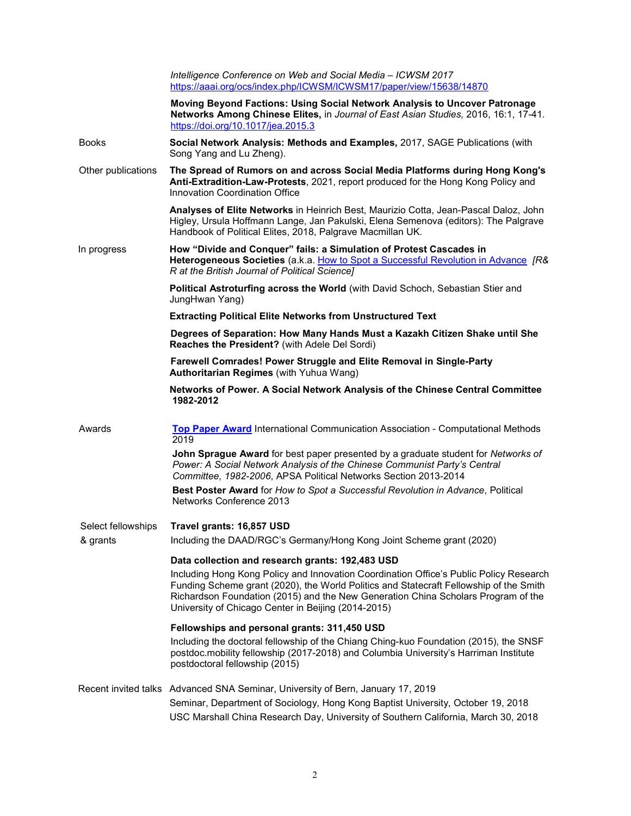|                    | Intelligence Conference on Web and Social Media - ICWSM 2017<br>https://aaai.org/ocs/index.php/ICWSM/ICWSM17/paper/view/15638/14870                                                                                                                                                                                          |
|--------------------|------------------------------------------------------------------------------------------------------------------------------------------------------------------------------------------------------------------------------------------------------------------------------------------------------------------------------|
|                    | Moving Beyond Factions: Using Social Network Analysis to Uncover Patronage<br>Networks Among Chinese Elites, in Journal of East Asian Studies, 2016, 16:1, 17-41.<br>https://doi.org/10.1017/jea.2015.3                                                                                                                      |
| <b>Books</b>       | Social Network Analysis: Methods and Examples, 2017, SAGE Publications (with<br>Song Yang and Lu Zheng).                                                                                                                                                                                                                     |
| Other publications | The Spread of Rumors on and across Social Media Platforms during Hong Kong's<br>Anti-Extradition-Law-Protests, 2021, report produced for the Hong Kong Policy and<br>Innovation Coordination Office                                                                                                                          |
|                    | Analyses of Elite Networks in Heinrich Best, Maurizio Cotta, Jean-Pascal Daloz, John<br>Higley, Ursula Hoffmann Lange, Jan Pakulski, Elena Semenova (editors): The Palgrave<br>Handbook of Political Elites, 2018, Palgrave Macmillan UK.                                                                                    |
| In progress        | How "Divide and Conquer" fails: a Simulation of Protest Cascades in<br>Heterogeneous Societies (a.k.a. How to Spot a Successful Revolution in Advance [R&<br>R at the British Journal of Political Science]                                                                                                                  |
|                    | Political Astroturfing across the World (with David Schoch, Sebastian Stier and<br>JungHwan Yang)                                                                                                                                                                                                                            |
|                    | <b>Extracting Political Elite Networks from Unstructured Text</b>                                                                                                                                                                                                                                                            |
|                    | Degrees of Separation: How Many Hands Must a Kazakh Citizen Shake until She<br>Reaches the President? (with Adele Del Sordi)                                                                                                                                                                                                 |
|                    | Farewell Comrades! Power Struggle and Elite Removal in Single-Party<br>Authoritarian Regimes (with Yuhua Wang)                                                                                                                                                                                                               |
|                    | Networks of Power. A Social Network Analysis of the Chinese Central Committee<br>1982-2012                                                                                                                                                                                                                                   |
| Awards             | <b>Top Paper Award International Communication Association - Computational Methods</b><br>2019                                                                                                                                                                                                                               |
|                    | John Sprague Award for best paper presented by a graduate student for Networks of<br>Power: A Social Network Analysis of the Chinese Communist Party's Central<br>Committee, 1982-2006, APSA Political Networks Section 2013-2014                                                                                            |
|                    | Best Poster Award for How to Spot a Successful Revolution in Advance, Political<br>Networks Conference 2013                                                                                                                                                                                                                  |
| Select fellowships | Travel grants: 16,857 USD                                                                                                                                                                                                                                                                                                    |
| & grants           | Including the DAAD/RGC's Germany/Hong Kong Joint Scheme grant (2020)                                                                                                                                                                                                                                                         |
|                    | Data collection and research grants: 192,483 USD                                                                                                                                                                                                                                                                             |
|                    | Including Hong Kong Policy and Innovation Coordination Office's Public Policy Research<br>Funding Scheme grant (2020), the World Politics and Statecraft Fellowship of the Smith<br>Richardson Foundation (2015) and the New Generation China Scholars Program of the<br>University of Chicago Center in Beijing (2014-2015) |
|                    | Fellowships and personal grants: 311,450 USD<br>Including the doctoral fellowship of the Chiang Ching-kuo Foundation (2015), the SNSF<br>postdoc.mobility fellowship (2017-2018) and Columbia University's Harriman Institute<br>postdoctoral fellowship (2015)                                                              |
|                    | Recent invited talks Advanced SNA Seminar, University of Bern, January 17, 2019<br>Seminar, Department of Sociology, Hong Kong Baptist University, October 19, 2018<br>USC Marshall China Research Day, University of Southern California, March 30, 2018                                                                    |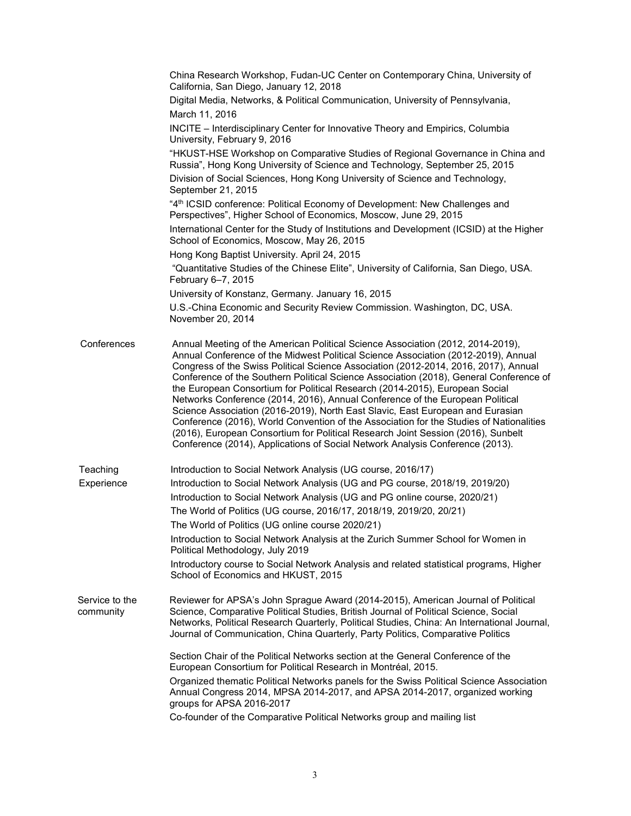|                             | China Research Workshop, Fudan-UC Center on Contemporary China, University of<br>California, San Diego, January 12, 2018                                                                                                                                                                                                                                                                                                                                                                                                                                                                                                                                                                                                                                                                                                                                                 |
|-----------------------------|--------------------------------------------------------------------------------------------------------------------------------------------------------------------------------------------------------------------------------------------------------------------------------------------------------------------------------------------------------------------------------------------------------------------------------------------------------------------------------------------------------------------------------------------------------------------------------------------------------------------------------------------------------------------------------------------------------------------------------------------------------------------------------------------------------------------------------------------------------------------------|
|                             | Digital Media, Networks, & Political Communication, University of Pennsylvania,<br>March 11, 2016                                                                                                                                                                                                                                                                                                                                                                                                                                                                                                                                                                                                                                                                                                                                                                        |
|                             | INCITE - Interdisciplinary Center for Innovative Theory and Empirics, Columbia<br>University, February 9, 2016                                                                                                                                                                                                                                                                                                                                                                                                                                                                                                                                                                                                                                                                                                                                                           |
|                             | "HKUST-HSE Workshop on Comparative Studies of Regional Governance in China and<br>Russia", Hong Kong University of Science and Technology, September 25, 2015                                                                                                                                                                                                                                                                                                                                                                                                                                                                                                                                                                                                                                                                                                            |
|                             | Division of Social Sciences, Hong Kong University of Science and Technology,<br>September 21, 2015                                                                                                                                                                                                                                                                                                                                                                                                                                                                                                                                                                                                                                                                                                                                                                       |
|                             | "4 <sup>th</sup> ICSID conference: Political Economy of Development: New Challenges and<br>Perspectives", Higher School of Economics, Moscow, June 29, 2015                                                                                                                                                                                                                                                                                                                                                                                                                                                                                                                                                                                                                                                                                                              |
|                             | International Center for the Study of Institutions and Development (ICSID) at the Higher<br>School of Economics, Moscow, May 26, 2015                                                                                                                                                                                                                                                                                                                                                                                                                                                                                                                                                                                                                                                                                                                                    |
|                             | Hong Kong Baptist University. April 24, 2015                                                                                                                                                                                                                                                                                                                                                                                                                                                                                                                                                                                                                                                                                                                                                                                                                             |
|                             | "Quantitative Studies of the Chinese Elite", University of California, San Diego, USA.<br>February 6-7, 2015                                                                                                                                                                                                                                                                                                                                                                                                                                                                                                                                                                                                                                                                                                                                                             |
|                             | University of Konstanz, Germany. January 16, 2015                                                                                                                                                                                                                                                                                                                                                                                                                                                                                                                                                                                                                                                                                                                                                                                                                        |
|                             | U.S.-China Economic and Security Review Commission. Washington, DC, USA.<br>November 20, 2014                                                                                                                                                                                                                                                                                                                                                                                                                                                                                                                                                                                                                                                                                                                                                                            |
| Conferences                 | Annual Meeting of the American Political Science Association (2012, 2014-2019),<br>Annual Conference of the Midwest Political Science Association (2012-2019), Annual<br>Congress of the Swiss Political Science Association (2012-2014, 2016, 2017), Annual<br>Conference of the Southern Political Science Association (2018), General Conference of<br>the European Consortium for Political Research (2014-2015), European Social<br>Networks Conference (2014, 2016), Annual Conference of the European Political<br>Science Association (2016-2019), North East Slavic, East European and Eurasian<br>Conference (2016), World Convention of the Association for the Studies of Nationalities<br>(2016), European Consortium for Political Research Joint Session (2016), Sunbelt<br>Conference (2014), Applications of Social Network Analysis Conference (2013). |
| Teaching                    | Introduction to Social Network Analysis (UG course, 2016/17)                                                                                                                                                                                                                                                                                                                                                                                                                                                                                                                                                                                                                                                                                                                                                                                                             |
| Experience                  | Introduction to Social Network Analysis (UG and PG course, 2018/19, 2019/20)                                                                                                                                                                                                                                                                                                                                                                                                                                                                                                                                                                                                                                                                                                                                                                                             |
|                             | Introduction to Social Network Analysis (UG and PG online course, 2020/21)                                                                                                                                                                                                                                                                                                                                                                                                                                                                                                                                                                                                                                                                                                                                                                                               |
|                             | The World of Politics (UG course, 2016/17, 2018/19, 2019/20, 20/21)                                                                                                                                                                                                                                                                                                                                                                                                                                                                                                                                                                                                                                                                                                                                                                                                      |
|                             | The World of Politics (UG online course 2020/21)                                                                                                                                                                                                                                                                                                                                                                                                                                                                                                                                                                                                                                                                                                                                                                                                                         |
|                             | Introduction to Social Network Analysis at the Zurich Summer School for Women in<br>Political Methodology, July 2019                                                                                                                                                                                                                                                                                                                                                                                                                                                                                                                                                                                                                                                                                                                                                     |
|                             | Introductory course to Social Network Analysis and related statistical programs, Higher<br>School of Economics and HKUST, 2015                                                                                                                                                                                                                                                                                                                                                                                                                                                                                                                                                                                                                                                                                                                                           |
| Service to the<br>community | Reviewer for APSA's John Sprague Award (2014-2015), American Journal of Political<br>Science, Comparative Political Studies, British Journal of Political Science, Social<br>Networks, Political Research Quarterly, Political Studies, China: An International Journal,<br>Journal of Communication, China Quarterly, Party Politics, Comparative Politics                                                                                                                                                                                                                                                                                                                                                                                                                                                                                                              |
|                             | Section Chair of the Political Networks section at the General Conference of the<br>European Consortium for Political Research in Montréal, 2015.                                                                                                                                                                                                                                                                                                                                                                                                                                                                                                                                                                                                                                                                                                                        |
|                             | Organized thematic Political Networks panels for the Swiss Political Science Association<br>Annual Congress 2014, MPSA 2014-2017, and APSA 2014-2017, organized working<br>groups for APSA 2016-2017                                                                                                                                                                                                                                                                                                                                                                                                                                                                                                                                                                                                                                                                     |
|                             | Co-founder of the Comparative Political Networks group and mailing list                                                                                                                                                                                                                                                                                                                                                                                                                                                                                                                                                                                                                                                                                                                                                                                                  |